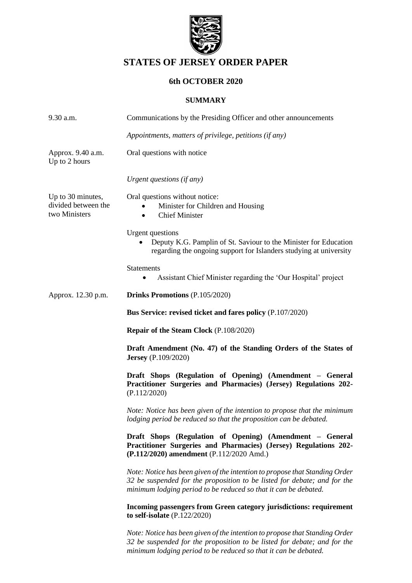

# **STATES OF JERSEY ORDER PAPER**

## **6th OCTOBER 2020**

#### **SUMMARY**

| 9.30 a.m.                                                 | Communications by the Presiding Officer and other announcements                                                                                                                                                            |
|-----------------------------------------------------------|----------------------------------------------------------------------------------------------------------------------------------------------------------------------------------------------------------------------------|
|                                                           | Appointments, matters of privilege, petitions (if any)                                                                                                                                                                     |
| Approx. 9.40 a.m.<br>Up to 2 hours                        | Oral questions with notice                                                                                                                                                                                                 |
|                                                           | Urgent questions (if any)                                                                                                                                                                                                  |
| Up to 30 minutes,<br>divided between the<br>two Ministers | Oral questions without notice:<br>Minister for Children and Housing<br><b>Chief Minister</b><br>$\bullet$                                                                                                                  |
|                                                           | <b>Urgent</b> questions<br>Deputy K.G. Pamplin of St. Saviour to the Minister for Education<br>regarding the ongoing support for Islanders studying at university                                                          |
|                                                           | <b>Statements</b>                                                                                                                                                                                                          |
|                                                           | Assistant Chief Minister regarding the 'Our Hospital' project                                                                                                                                                              |
| Approx. 12.30 p.m.                                        | <b>Drinks Promotions (P.105/2020)</b>                                                                                                                                                                                      |
|                                                           | Bus Service: revised ticket and fares policy (P.107/2020)                                                                                                                                                                  |
|                                                           | <b>Repair of the Steam Clock</b> (P.108/2020)                                                                                                                                                                              |
|                                                           | Draft Amendment (No. 47) of the Standing Orders of the States of<br><b>Jersey</b> (P.109/2020)                                                                                                                             |
|                                                           | Draft Shops (Regulation of Opening) (Amendment - General<br>Practitioner Surgeries and Pharmacies) (Jersey) Regulations 202-<br>(P.112/2020)                                                                               |
|                                                           | Note: Notice has been given of the intention to propose that the minimum<br>lodging period be reduced so that the proposition can be debated.                                                                              |
|                                                           | Draft Shops (Regulation of Opening) (Amendment - General<br>Practitioner Surgeries and Pharmacies) (Jersey) Regulations 202-<br>(P.112/2020) amendment (P.112/2020 Amd.)                                                   |
|                                                           | Note: Notice has been given of the intention to propose that Standing Order<br>32 be suspended for the proposition to be listed for debate; and for the<br>minimum lodging period to be reduced so that it can be debated. |
|                                                           | Incoming passengers from Green category jurisdictions: requirement<br>to self-isolate $(P.122/2020)$                                                                                                                       |
|                                                           | Note: Notice has been given of the intention to propose that Standing Order<br>32 be suspended for the proposition to be listed for debate; and for the<br>minimum lodging period to be reduced so that it can be debated. |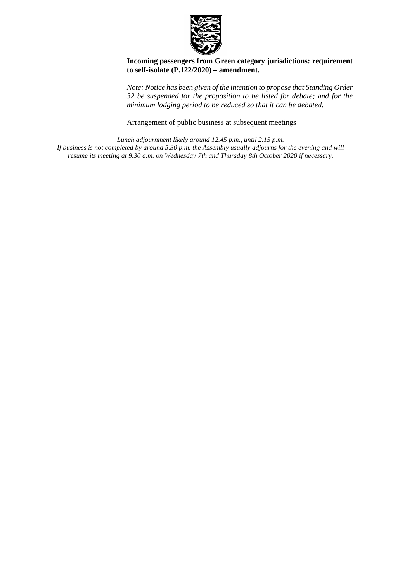

**Incoming passengers from Green category jurisdictions: requirement to self-isolate (P.122/2020) – amendment.**

*Note: Notice has been given of the intention to propose that Standing Order 32 be suspended for the proposition to be listed for debate; and for the minimum lodging period to be reduced so that it can be debated.*

Arrangement of public business at subsequent meetings

*Lunch adjournment likely around 12.45 p.m., until 2.15 p.m. If business is not completed by around 5.30 p.m. the Assembly usually adjourns for the evening and will resume its meeting at 9.30 a.m. on Wednesday 7th and Thursday 8th October 2020 if necessary.*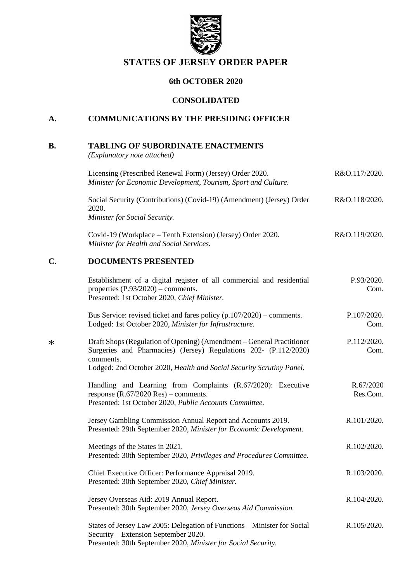

# **STATES OF JERSEY ORDER PAPER**

## **6th OCTOBER 2020**

#### **CONSOLIDATED**

# **A. COMMUNICATIONS BY THE PRESIDING OFFICER**

# **B. TABLING OF SUBORDINATE ENACTMENTS**

*(Explanatory note attached)*

\*

|        | Licensing (Prescribed Renewal Form) (Jersey) Order 2020.<br>Minister for Economic Development, Tourism, Sport and Culture.                                                                                                     | R&O.117/2020.         |
|--------|--------------------------------------------------------------------------------------------------------------------------------------------------------------------------------------------------------------------------------|-----------------------|
|        | Social Security (Contributions) (Covid-19) (Amendment) (Jersey) Order<br>2020.<br>Minister for Social Security.                                                                                                                | R&O.118/2020.         |
|        | Covid-19 (Workplace – Tenth Extension) (Jersey) Order 2020.<br>Minister for Health and Social Services.                                                                                                                        | R&O.119/2020.         |
| C.     | <b>DOCUMENTS PRESENTED</b>                                                                                                                                                                                                     |                       |
|        | Establishment of a digital register of all commercial and residential<br>properties $(P.93/2020)$ – comments.<br>Presented: 1st October 2020, Chief Minister.                                                                  | P.93/2020.<br>Com.    |
|        | Bus Service: revised ticket and fares policy $(p.107/2020)$ – comments.<br>Lodged: 1st October 2020, Minister for Infrastructure.                                                                                              | P.107/2020.<br>Com.   |
| $\ast$ | Draft Shops (Regulation of Opening) (Amendment – General Practitioner<br>Surgeries and Pharmacies) (Jersey) Regulations 202- (P.112/2020)<br>comments.<br>Lodged: 2nd October 2020, Health and Social Security Scrutiny Panel. | P.112/2020.<br>Com.   |
|        | Handling and Learning from Complaints (R.67/2020): Executive<br>response $(R.67/2020$ Res $)$ – comments.<br>Presented: 1st October 2020, Public Accounts Committee.                                                           | R.67/2020<br>Res.Com. |
|        | Jersey Gambling Commission Annual Report and Accounts 2019.<br>Presented: 29th September 2020, Minister for Economic Development.                                                                                              | R.101/2020.           |
|        | Meetings of the States in 2021.<br>Presented: 30th September 2020, Privileges and Procedures Committee.                                                                                                                        | R.102/2020.           |
|        | Chief Executive Officer: Performance Appraisal 2019.<br>Presented: 30th September 2020, Chief Minister.                                                                                                                        | R.103/2020.           |
|        | Jersey Overseas Aid: 2019 Annual Report.<br>Presented: 30th September 2020, Jersey Overseas Aid Commission.                                                                                                                    | R.104/2020.           |
|        | States of Jersey Law 2005: Delegation of Functions - Minister for Social<br>Security – Extension September 2020.<br>Presented: 30th September 2020, Minister for Social Security.                                              | R.105/2020.           |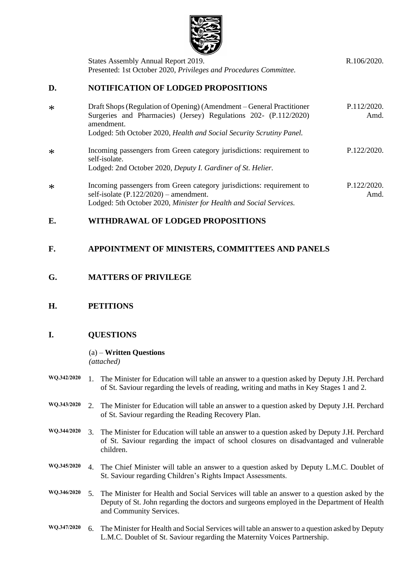

|        | States Assembly Annual Report 2019.<br>Presented: 1st October 2020, Privileges and Procedures Committee.                                                                                                                        | R.106/2020.         |
|--------|---------------------------------------------------------------------------------------------------------------------------------------------------------------------------------------------------------------------------------|---------------------|
| D.     | <b>NOTIFICATION OF LODGED PROPOSITIONS</b>                                                                                                                                                                                      |                     |
| $\ast$ | Draft Shops (Regulation of Opening) (Amendment – General Practitioner<br>Surgeries and Pharmacies) (Jersey) Regulations 202- (P.112/2020)<br>amendment.<br>Lodged: 5th October 2020, Health and Social Security Scrutiny Panel. | P.112/2020.<br>Amd. |
| $\ast$ | Incoming passengers from Green category jurisdictions: requirement to<br>self-isolate.<br>Lodged: 2nd October 2020, Deputy I. Gardiner of St. Helier.                                                                           | P.122/2020.         |
| $\ast$ | Incoming passengers from Green category jurisdictions: requirement to<br>self-isolate $(P.122/2020)$ – amendment.<br>Lodged: 5th October 2020, Minister for Health and Social Services.                                         | P.122/2020.<br>Amd. |

## **E. WITHDRAWAL OF LODGED PROPOSITIONS**

## **F. APPOINTMENT OF MINISTERS, COMMITTEES AND PANELS**

### **G. MATTERS OF PRIVILEGE**

## **H. PETITIONS**

#### **I. QUESTIONS**

#### (a) – **Written Questions** *(attached)*

- **WQ.342/2020** 1. The Minister for Education will table an answer to a question asked by Deputy J.H. Perchard of St. Saviour regarding the levels of reading, writing and maths in Key Stages 1 and 2.
- **WQ.343/2020** 2. The Minister for Education will table an answer to a question asked by Deputy J.H. Perchard of St. Saviour regarding the Reading Recovery Plan.
- **WQ.344/2020** 3. The Minister for Education will table an answer to a question asked by Deputy J.H. Perchard of St. Saviour regarding the impact of school closures on disadvantaged and vulnerable children.
- **WQ.345/2020** 4. The Chief Minister will table an answer to a question asked by Deputy L.M.C. Doublet of St. Saviour regarding Children's Rights Impact Assessments.
- **WQ.346/2020** 5. The Minister for Health and Social Services will table an answer to a question asked by the Deputy of St. John regarding the doctors and surgeons employed in the Department of Health and Community Services.
- **WQ.347/2020** 6. The Minister for Health and Social Services will table an answer to a question asked by Deputy L.M.C. Doublet of St. Saviour regarding the Maternity Voices Partnership.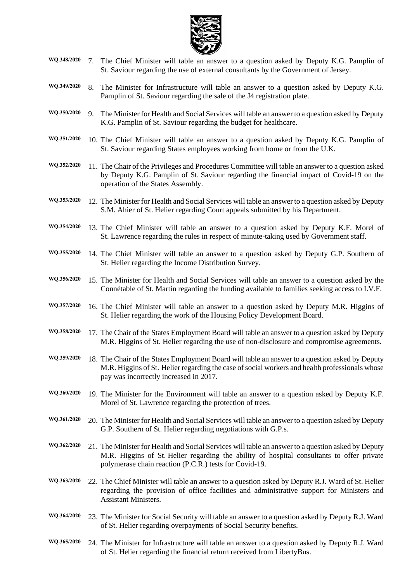

- **WQ.348/2020** 7. The Chief Minister will table an answer to a question asked by Deputy K.G. Pamplin of St. Saviour regarding the use of external consultants by the Government of Jersey.
- **WQ.349/2020** 8. The Minister for Infrastructure will table an answer to a question asked by Deputy K.G. Pamplin of St. Saviour regarding the sale of the J4 registration plate.
- **WQ.350/2020** 9. The Minister for Health and Social Services will table an answer to a question asked by Deputy K.G. Pamplin of St. Saviour regarding the budget for healthcare.
- **WQ.351/2020** 10. The Chief Minister will table an answer to a question asked by Deputy K.G. Pamplin of St. Saviour regarding States employees working from home or from the U.K.
- **WQ.352/2020** 11. The Chair of the Privileges and Procedures Committee will table an answer to a question asked by Deputy K.G. Pamplin of St. Saviour regarding the financial impact of Covid-19 on the operation of the States Assembly.
- **WQ.353/2020** 12. The Minister for Health and Social Services will table an answer to a question asked by Deputy S.M. Ahier of St. Helier regarding Court appeals submitted by his Department.
- **WQ.354/2020** 13. The Chief Minister will table an answer to a question asked by Deputy K.F. Morel of St. Lawrence regarding the rules in respect of minute-taking used by Government staff.
- **WQ.355/2020** 14. The Chief Minister will table an answer to a question asked by Deputy G.P. Southern of St. Helier regarding the Income Distribution Survey.
- **WQ.356/2020** 15. The Minister for Health and Social Services will table an answer to a question asked by the Connétable of St. Martin regarding the funding available to families seeking access to I.V.F.
- **WQ.357/2020** 16. The Chief Minister will table an answer to a question asked by Deputy M.R. Higgins of St. Helier regarding the work of the Housing Policy Development Board.
- **WQ.358/2020** 17. The Chair of the States Employment Board will table an answer to a question asked by Deputy M.R. Higgins of St. Helier regarding the use of non-disclosure and compromise agreements.
- **WQ.359/2020** 18. The Chair of the States Employment Board will table an answer to a question asked by Deputy M.R. Higgins of St. Helier regarding the case of social workers and health professionals whose pay was incorrectly increased in 2017.
- **WQ.360/2020** 19. The Minister for the Environment will table an answer to a question asked by Deputy K.F. Morel of St. Lawrence regarding the protection of trees.
- **WQ.361/2020** 20. The Minister for Health and Social Services will table an answer to a question asked by Deputy G.P. Southern of St. Helier regarding negotiations with G.P.s.
- **WQ.362/2020** 21. The Minister for Health and Social Services will table an answer to a question asked by Deputy M.R. Higgins of St. Helier regarding the ability of hospital consultants to offer private polymerase chain reaction (P.C.R.) tests for Covid-19.
- **WQ.363/2020** 22. The Chief Minister will table an answer to a question asked by Deputy R.J. Ward of St. Helier regarding the provision of office facilities and administrative support for Ministers and Assistant Ministers.
- **WQ.364/2020** 23. The Minister for Social Security will table an answer to a question asked by Deputy R.J. Ward of St. Helier regarding overpayments of Social Security benefits.
- **WQ.365/2020** 24. The Minister for Infrastructure will table an answer to a question asked by Deputy R.J. Ward of St. Helier regarding the financial return received from LibertyBus.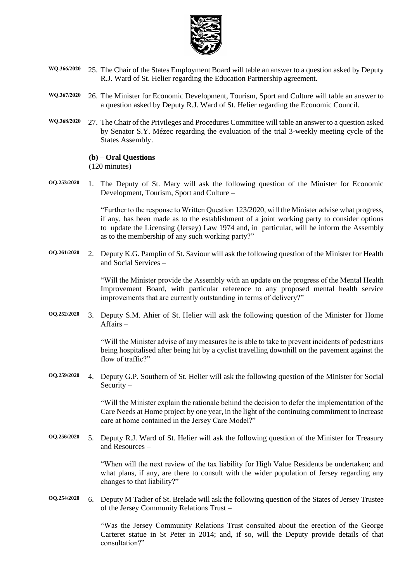

- **WQ.366/2020** 25. The Chair of the States Employment Board will table an answer to a question asked by Deputy R.J. Ward of St. Helier regarding the Education Partnership agreement.
- **WQ.367/2020** 26. The Minister for Economic Development, Tourism, Sport and Culture will table an answer to a question asked by Deputy R.J. Ward of St. Helier regarding the Economic Council.
- **WQ.368/2020** 27. The Chair of the Privileges and Procedures Committee will table an answer to a question asked by Senator S.Y. Mézec regarding the evaluation of the trial 3-weekly meeting cycle of the States Assembly.

**(b) – Oral Questions** (120 minutes)

**OQ.253/2020** 1. The Deputy of St. Mary will ask the following question of the Minister for Economic Development, Tourism, Sport and Culture –

> "Further to the response to Written Question 123/2020, will the Minister advise what progress, if any, has been made as to the establishment of a joint working party to consider options to update the Licensing (Jersey) Law 1974 and, in particular, will he inform the Assembly as to the membership of any such working party?"

**OQ.261/2020** 2. Deputy K.G. Pamplin of St. Saviour will ask the following question of the Minister for Health and Social Services –

> "Will the Minister provide the Assembly with an update on the progress of the Mental Health Improvement Board, with particular reference to any proposed mental health service improvements that are currently outstanding in terms of delivery?"

**OQ.252/2020** 3. Deputy S.M. Ahier of St. Helier will ask the following question of the Minister for Home Affairs –

> "Will the Minister advise of any measures he is able to take to prevent incidents of pedestrians being hospitalised after being hit by a cyclist travelling downhill on the pavement against the flow of traffic?"

**OQ.259/2020** 4. Deputy G.P. Southern of St. Helier will ask the following question of the Minister for Social Security –

> "Will the Minister explain the rationale behind the decision to defer the implementation of the Care Needs at Home project by one year, in the light of the continuing commitment to increase care at home contained in the Jersey Care Model?"

**OQ.256/2020** 5. Deputy R.J. Ward of St. Helier will ask the following question of the Minister for Treasury and Resources –

> "When will the next review of the tax liability for High Value Residents be undertaken; and what plans, if any, are there to consult with the wider population of Jersey regarding any changes to that liability?"

**OQ.254/2020** 6. Deputy M Tadier of St. Brelade will ask the following question of the States of Jersey Trustee of the Jersey Community Relations Trust –

> "Was the Jersey Community Relations Trust consulted about the erection of the George Carteret statue in St Peter in 2014; and, if so, will the Deputy provide details of that consultation?"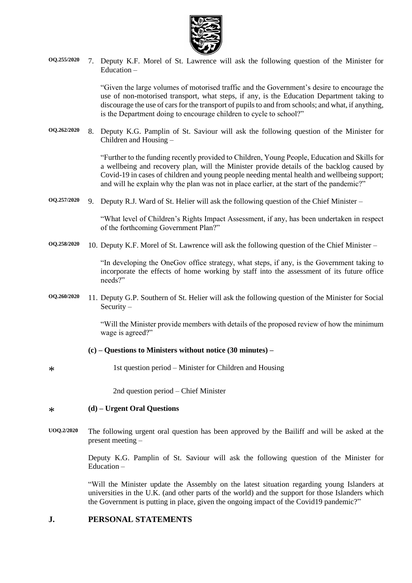

**OQ.255/2020** 7. Deputy K.F. Morel of St. Lawrence will ask the following question of the Minister for Education –

> "Given the large volumes of motorised traffic and the Government's desire to encourage the use of non-motorised transport, what steps, if any, is the Education Department taking to discourage the use of cars for the transport of pupils to and from schools; and what, if anything, is the Department doing to encourage children to cycle to school?"

**OQ.262/2020** 8. Deputy K.G. Pamplin of St. Saviour will ask the following question of the Minister for Children and Housing –

> "Further to the funding recently provided to Children, Young People, Education and Skills for a wellbeing and recovery plan, will the Minister provide details of the backlog caused by Covid-19 in cases of children and young people needing mental health and wellbeing support; and will he explain why the plan was not in place earlier, at the start of the pandemic?"

**OQ.257/2020** 9. Deputy R.J. Ward of St. Helier will ask the following question of the Chief Minister –

"What level of Children's Rights Impact Assessment, if any, has been undertaken in respect of the forthcoming Government Plan?"

**OQ.258/2020** 10. Deputy K.F. Morel of St. Lawrence will ask the following question of the Chief Minister –

"In developing the OneGov office strategy, what steps, if any, is the Government taking to incorporate the effects of home working by staff into the assessment of its future office needs?"

**OQ.260/2020** 11. Deputy G.P. Southern of St. Helier will ask the following question of the Minister for Social Security –

> "Will the Minister provide members with details of the proposed review of how the minimum wage is agreed?"

- **(c) – Questions to Ministers without notice (30 minutes) –**
- 1st question period Minister for Children and Housing

2nd question period – Chief Minister

#### \* **(d) – Urgent Oral Questions**

\*

**UOQ.2/2020** The following urgent oral question has been approved by the Bailiff and will be asked at the present meeting –

> Deputy K.G. Pamplin of St. Saviour will ask the following question of the Minister for Education –

> "Will the Minister update the Assembly on the latest situation regarding young Islanders at universities in the U.K. (and other parts of the world) and the support for those Islanders which the Government is putting in place, given the ongoing impact of the Covid19 pandemic?"

#### **J. PERSONAL STATEMENTS**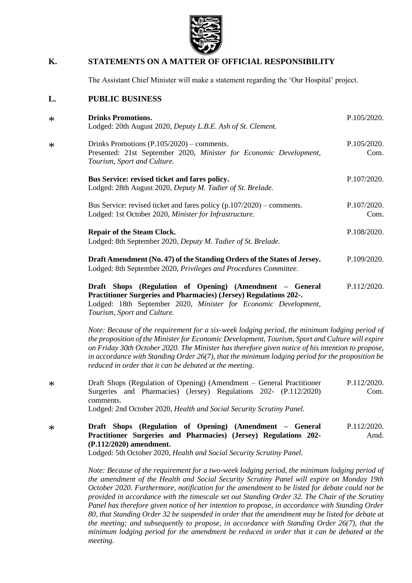

### **K. STATEMENTS ON A MATTER OF OFFICIAL RESPONSIBILITY**

The Assistant Chief Minister will make a statement regarding the 'Our Hospital' project.

#### **L. PUBLIC BUSINESS**

*[Tourism, Sport and Culture.](https://statesassembly.gov.je/Pages/Propositions.aspx?ref=P.112/2020(Re-issue)&refurl=%2fPages%2fPropositions.aspx)*

| $\ast$ | <b>Drinks Promotions.</b><br>Lodged: 20th August 2020, Deputy L.B.E. Ash of St. Clement.                                                                                                                | P.105/2020.         |
|--------|---------------------------------------------------------------------------------------------------------------------------------------------------------------------------------------------------------|---------------------|
| $\ast$ | Drinks Promotions $(P.105/2020)$ – comments.<br>Presented: 21st September 2020, Minister for Economic Development,<br>Tourism, Sport and Culture.                                                       | P.105/2020.<br>Com. |
|        | Bus Service: revised ticket and fares policy.<br>Lodged: 28th August 2020, Deputy M. Tadier of St. Brelade.                                                                                             | P.107/2020.         |
|        | Bus Service: revised ticket and fares policy $(p.107/2020)$ – comments.<br>Lodged: 1st October 2020, Minister for Infrastructure.                                                                       | P.107/2020.<br>Com. |
|        | <b>Repair of the Steam Clock.</b><br>Lodged: 8th September 2020, Deputy M. Tadier of St. Brelade.                                                                                                       | P.108/2020.         |
|        | Draft Amendment (No. 47) of the Standing Orders of the States of Jersey.<br>Lodged: 8th September 2020, Privileges and Procedures Committee.                                                            | P.109/2020.         |
|        | Draft Shops (Regulation of Opening) (Amendment – General<br><b>Practitioner Surgeries and Pharmacies) (Jersey) Regulations 202-.</b><br>Lodged: 18th September 2020, Minister for Economic Development, | P.112/2020.         |

*Note: Because of the requirement for a six-week lodging period, the minimum lodging period of the proposition of the Minister for Economic Development, Tourism, Sport and Culture will expire on Friday 30th October 2020. The Minister has therefore given notice of his intention to propose, in accordance with Standing Order 26(7), that the minimum lodging period for the proposition be reduced in order that it can be debated at the meeting.*

\* [Draft Shops \(Regulation of Opening\) \(Amendment –](https://statesassembly.gov.je/AssemblyPropositions/2020/P.112-2020Com.pdf) General Practitioner [Surgeries and Pharmacies\) \(Jersey\) Regulations 202-](https://statesassembly.gov.je/AssemblyPropositions/2020/P.112-2020Com.pdf) (P.112/2020) [comments.](https://statesassembly.gov.je/AssemblyPropositions/2020/P.112-2020Com.pdf) [P.112/2020.](https://statesassembly.gov.je/AssemblyPropositions/2020/P.112-2020Com.pdf) [Com.](https://statesassembly.gov.je/AssemblyPropositions/2020/P.112-2020Com.pdf)

Lodged: 2nd October 2020, *[Health and Social Security Scrutiny Panel.](https://statesassembly.gov.je/AssemblyPropositions/2020/P.112-2020Com.pdf)*

\* **[Draft Shops \(Regulation of Opening\) \(Amendment –](https://statesassembly.gov.je/AssemblyPropositions/2020/P.112-2020Amd.pdf) General [Practitioner Surgeries and Pharmacies\) \(Jersey\) Regulations 202-](https://statesassembly.gov.je/AssemblyPropositions/2020/P.112-2020Amd.pdf) [\(P.112/2020\) amendment.](https://statesassembly.gov.je/AssemblyPropositions/2020/P.112-2020Amd.pdf)** [P.112/2020.](https://statesassembly.gov.je/AssemblyPropositions/2020/P.112-2020Amd.pdf) [Amd.](https://statesassembly.gov.je/AssemblyPropositions/2020/P.112-2020Amd.pdf)

Lodged: 5th October 2020, *[Health and Social Security Scrutiny Panel.](https://statesassembly.gov.je/AssemblyPropositions/2020/P.112-2020Amd.pdf)*

*Note: Because of the requirement for a two-week lodging period, the minimum lodging period of the amendment of the Health and Social Security Scrutiny Panel will expire on Monday 19th October 2020. Furthermore, notification for the amendment to be listed for debate could not be provided in accordance with the timescale set out Standing Order 32. The Chair of the Scrutiny Panel has therefore given notice of her intention to propose, in accordance with Standing Order 80, that Standing Order 32 be suspended in order that the amendment may be listed for debate at the meeting; and subsequently to propose, in accordance with Standing Order 26(7), that the minimum lodging period for the amendment be reduced in order that it can be debated at the meeting.*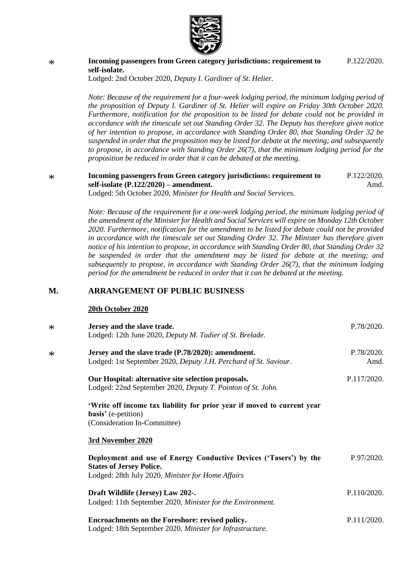

#### \* **[Incoming passengers from Green category jurisdictions: requirement to](https://statesassembly.gov.je/AssemblyPropositions/2020/P.122-2020.pdf)  [self-isolate.](https://statesassembly.gov.je/AssemblyPropositions/2020/P.122-2020.pdf)**

[P.122/2020.](https://statesassembly.gov.je/AssemblyPropositions/2020/P.122-2020.pdf)

Lodged: 2nd October 2020, *[Deputy I. Gardiner of St. Helier.](https://statesassembly.gov.je/AssemblyPropositions/2020/P.122-2020.pdf)*

*Note: Because of the requirement for a four-week lodging period, the minimum lodging period of the proposition of Deputy I. Gardiner of St. Helier will expire on Friday 30th October 2020. Furthermore, notification for the proposition to be listed for debate could not be provided in accordance with the timescale set out Standing Order 32. The Deputy has therefore given notice of her intention to propose, in accordance with Standing Order 80, that Standing Order 32 be suspended in order that the proposition may be listed for debate at the meeting; and subsequently to propose, in accordance with Standing Order 26(7), that the minimum lodging period for the proposition be reduced in order that it can be debated at the meeting.*

#### **Incoming passengers from Green category jurisdictions: requirement to self-isolate (P.122/2020) – amendment.** P.122/2020. Amd.

Lodged: 5th October 2020, *Minister for Health and Social Services.*

*Note: Because of the requirement for a one-week lodging period, the minimum lodging period of the amendment of the Minister for Health and Social Services will expire on Monday 12th October 2020. Furthermore, notification for the amendment to be listed for debate could not be provided in accordance with the timescale set out Standing Order 32. The Minister has therefore given notice of his intention to propose, in accordance with Standing Order 80, that Standing Order 32 be suspended in order that the amendment may be listed for debate at the meeting; and subsequently to propose, in accordance with Standing Order 26(7), that the minimum lodging period for the amendment be reduced in order that it can be debated at the meeting.*

#### **M. ARRANGEMENT OF PUBLIC BUSINESS**

#### **20th October 2020**

\*

| $\ast$ | Jersey and the slave trade.<br>Lodged: 12th June 2020, Deputy M. Tadier of St. Brelade.                                                                   | P.78/2020.         |
|--------|-----------------------------------------------------------------------------------------------------------------------------------------------------------|--------------------|
| $\ast$ | Jersey and the slave trade (P.78/2020): amendment.<br>Lodged: 1st September 2020, Deputy J.H. Perchard of St. Saviour.                                    | P.78/2020.<br>Amd. |
|        | Our Hospital: alternative site selection proposals.<br>Lodged: 22nd September 2020, Deputy T. Pointon of St. John.                                        | P.117/2020.        |
|        | 'Write off income tax liability for prior year if moved to current year<br><b>basis'</b> (e-petition)<br>(Consideration In-Committee)                     |                    |
|        | 3rd November 2020                                                                                                                                         |                    |
|        | Deployment and use of Energy Conductive Devices ('Tasers') by the<br><b>States of Jersey Police.</b><br>Lodged: 28th July 2020, Minister for Home Affairs | P.97/2020.         |
|        | Draft Wildlife (Jersey) Law 202-.<br>Lodged: 11th September 2020, Minister for the Environment.                                                           | P.110/2020.        |
|        | Encroachments on the Foreshore: revised policy.<br>Lodged: 18th September 2020, Minister for Infrastructure.                                              | P.111/2020.        |